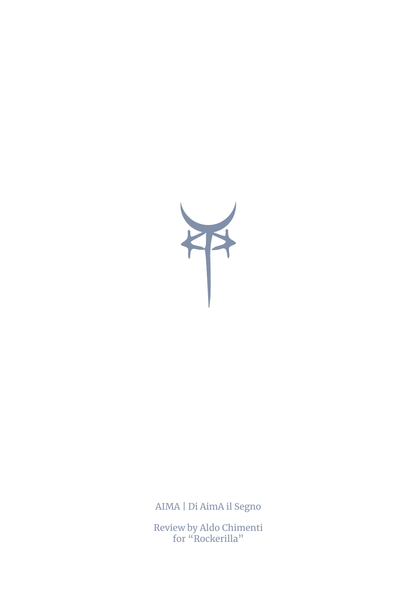

AIMA | Di AimA il Segno

Review by Aldo Chimenti for "Rockerilla"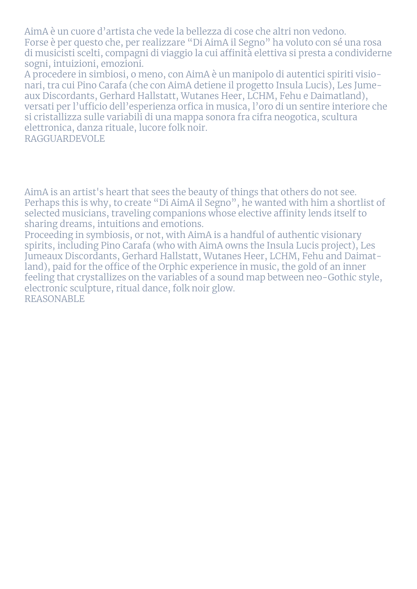AimA è un cuore d'artista che vede la bellezza di cose che altri non vedono. Forse è per questo che, per realizzare "Di AimA il Segno" ha voluto con sé una rosa di musicisti scelti, compagni di viaggio la cui affinità elettiva si presta a condividerne sogni, intuizioni, emozioni.

A procedere in simbiosi, o meno, con AimA è un manipolo di autentici spiriti visionari, tra cui Pino Carafa (che con AimA detiene il progetto Insula Lucis), Les Jumeaux Discordants, Gerhard Hallstatt, Wutanes Heer, LCHM, Fehu e Daimatland), versati per l'ufficio dell'esperienza orfica in musica, l'oro di un sentire interiore che si cristallizza sulle variabili di una mappa sonora fra cifra neogotica, scultura elettronica, danza rituale, lucore folk noir. RAGGUARDEVOLE

AimA is an artist's heart that sees the beauty of things that others do not see. Perhaps this is why, to create "Di AimA il Segno", he wanted with him a shortlist of selected musicians, traveling companions whose elective affinity lends itself to sharing dreams, intuitions and emotions.

Proceeding in symbiosis, or not, with AimA is a handful of authentic visionary spirits, including Pino Carafa (who with AimA owns the Insula Lucis project), Les Jumeaux Discordants, Gerhard Hallstatt, Wutanes Heer, LCHM, Fehu and Daimatland), paid for the office of the Orphic experience in music, the gold of an inner feeling that crystallizes on the variables of a sound map between neo-Gothic style, electronic sculpture, ritual dance, folk noir glow. REASONABLE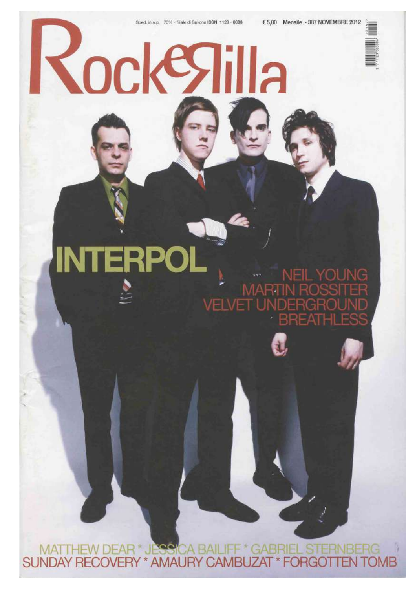Kockegilla



# **INTERPOI** NEIL YOUNG **MARTIN RC VELVET UNDERG**

MATTHEW DEAR \* JESSICA BAILIFF \* GABRIEL STERN<br>SUNDAY RECOVERY \* AMAURY CAMBUZAT \* FORGOTTE